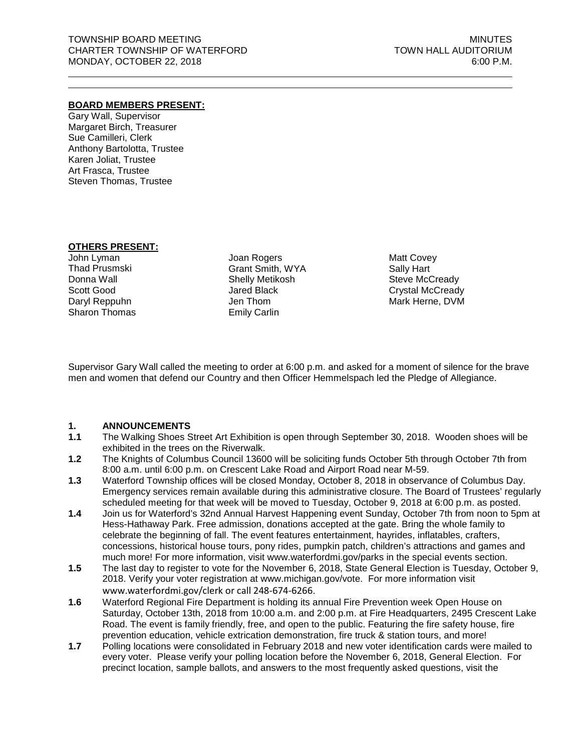## **BOARD MEMBERS PRESENT:**

Gary Wall, Supervisor Margaret Birch, Treasurer Sue Camilleri, Clerk Anthony Bartolotta, Trustee Karen Joliat, Trustee Art Frasca, Trustee Steven Thomas, Trustee

## **OTHERS PRESENT:**

John Lyman Thad Prusmski Donna Wall Scott Good Daryl Reppuhn Sharon Thomas Joan Rogers Grant Smith, WYA Shelly Metikosh Jared Black Jen Thom Emily Carlin

Matt Covey Sally Hart Steve McCready Crystal McCready Mark Herne, DVM

Supervisor Gary Wall called the meeting to order at 6:00 p.m. and asked for a moment of silence for the brave men and women that defend our Country and then Officer Hemmelspach led the Pledge of Allegiance.

## **1. ANNOUNCEMENTS**

- **1.1** The Walking Shoes Street Art Exhibition is open through September 30, 2018. Wooden shoes will be exhibited in the trees on the Riverwalk.
- **1.2** The Knights of Columbus Council 13600 will be soliciting funds October 5th through October 7th from 8:00 a.m. until 6:00 p.m. on Crescent Lake Road and Airport Road near M-59.
- **1.3** Waterford Township offices will be closed Monday, October 8, 2018 in observance of Columbus Day. Emergency services remain available during this administrative closure. The Board of Trustees' regularly scheduled meeting for that week will be moved to Tuesday, October 9, 2018 at 6:00 p.m. as posted.
- **1.4** Join us for Waterford's 32nd Annual Harvest Happening event Sunday, October 7th from noon to 5pm at Hess-Hathaway Park. Free admission, donations accepted at the gate. Bring the whole family to celebrate the beginning of fall. The event features entertainment, hayrides, inflatables, crafters, concessions, historical house tours, pony rides, pumpkin patch, children's attractions and games and much more! For more information, visit www.waterfordmi.gov/parks in the special events section.
- **1.5** The last day to register to vote for the November 6, 2018, State General Election is Tuesday, October 9, 2018. Verify your voter registration at www.michigan.gov/vote. For more information visit [www.waterfordmi.gov/clerk or call 248-674-6266](http://www.waterfordmi.gov/clerk%20or%20call%20248-674-6266).
- **1.6** Waterford Regional Fire Department is holding its annual Fire Prevention week Open House on Saturday, October 13th, 2018 from 10:00 a.m. and 2:00 p.m. at Fire Headquarters, 2495 Crescent Lake Road. The event is family friendly, free, and open to the public. Featuring the fire safety house, fire prevention education, vehicle extrication demonstration, fire truck & station tours, and more!
- **1.7** Polling locations were consolidated in February 2018 and new voter identification cards were mailed to every voter. Please verify your polling location before the November 6, 2018, General Election. For precinct location, sample ballots, and answers to the most frequently asked questions, visit the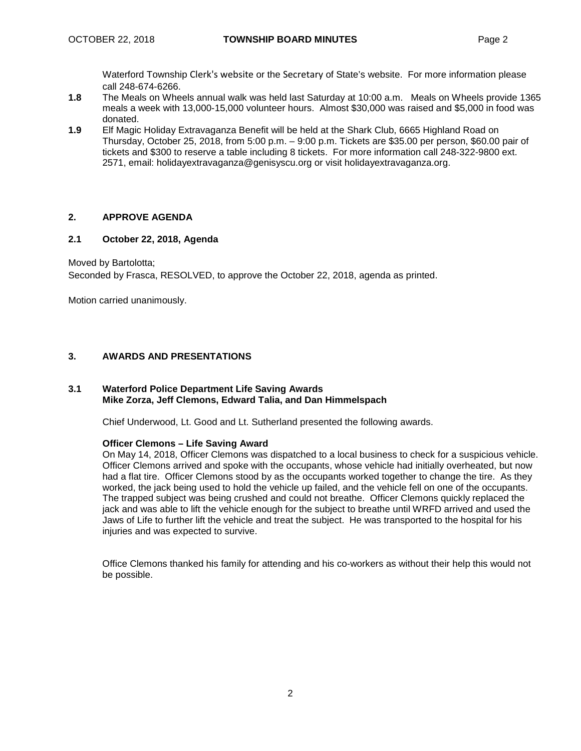Waterford Township [Clerk's website](https://www.waterfordmi.gov/159/Election-Information) or the [Secretary](https://webapps.sos.state.mi.us/MVIC/) of State's website. For more information please call 248-674-6266.

- **1.8** The Meals on Wheels annual walk was held last Saturday at 10:00 a.m. Meals on Wheels provide 1365 meals a week with 13,000-15,000 volunteer hours. Almost \$30,000 was raised and \$5,000 in food was donated.
- **1.9** Elf Magic Holiday Extravaganza Benefit will be held at the Shark Club, 6665 Highland Road on Thursday, October 25, 2018, from 5:00 p.m. – 9:00 p.m. Tickets are \$35.00 per person, \$60.00 pair of tickets and \$300 to reserve a table including 8 tickets. For more information call 248-322-9800 ext. 2571, email: [holidayextravaganza@genisyscu.org](mailto:holidayextravaganza@genisyscu.org) or visit holidayextravaganza.org.

## **2. APPROVE AGENDA**

## **2.1 October 22, 2018, Agenda**

Moved by Bartolotta;

Seconded by Frasca, RESOLVED, to approve the October 22, 2018, agenda as printed.

Motion carried unanimously.

## **3. AWARDS AND PRESENTATIONS**

## **3.1 Waterford Police Department Life Saving Awards Mike Zorza, Jeff Clemons, Edward Talia, and Dan Himmelspach**

Chief Underwood, Lt. Good and Lt. Sutherland presented the following awards.

## **Officer Clemons – Life Saving Award**

On May 14, 2018, Officer Clemons was dispatched to a local business to check for a suspicious vehicle. Officer Clemons arrived and spoke with the occupants, whose vehicle had initially overheated, but now had a flat tire. Officer Clemons stood by as the occupants worked together to change the tire. As they worked, the jack being used to hold the vehicle up failed, and the vehicle fell on one of the occupants. The trapped subject was being crushed and could not breathe. Officer Clemons quickly replaced the jack and was able to lift the vehicle enough for the subject to breathe until WRFD arrived and used the Jaws of Life to further lift the vehicle and treat the subject. He was transported to the hospital for his injuries and was expected to survive.

Office Clemons thanked his family for attending and his co-workers as without their help this would not be possible.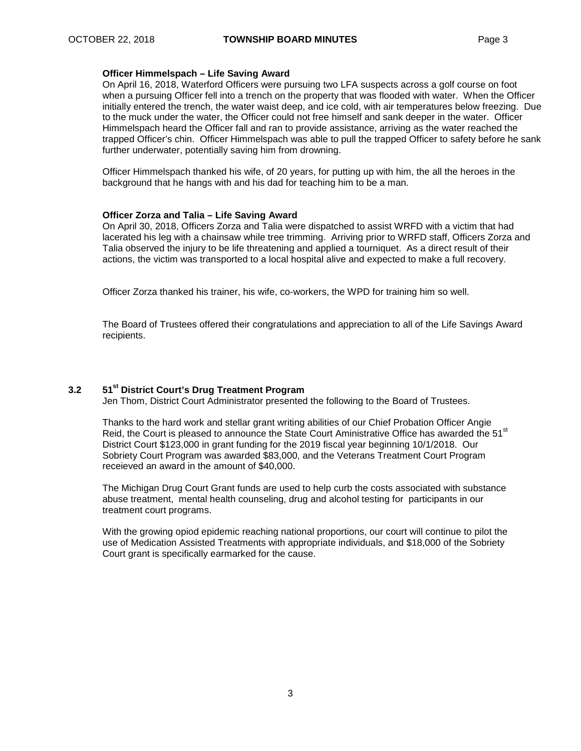#### **Officer Himmelspach – Life Saving Award**

On April 16, 2018, Waterford Officers were pursuing two LFA suspects across a golf course on foot when a pursuing Officer fell into a trench on the property that was flooded with water. When the Officer initially entered the trench, the water waist deep, and ice cold, with air temperatures below freezing. Due to the muck under the water, the Officer could not free himself and sank deeper in the water. Officer Himmelspach heard the Officer fall and ran to provide assistance, arriving as the water reached the trapped Officer's chin. Officer Himmelspach was able to pull the trapped Officer to safety before he sank further underwater, potentially saving him from drowning.

Officer Himmelspach thanked his wife, of 20 years, for putting up with him, the all the heroes in the background that he hangs with and his dad for teaching him to be a man.

#### **Officer Zorza and Talia – Life Saving Award**

On April 30, 2018, Officers Zorza and Talia were dispatched to assist WRFD with a victim that had lacerated his leg with a chainsaw while tree trimming. Arriving prior to WRFD staff, Officers Zorza and Talia observed the injury to be life threatening and applied a tourniquet. As a direct result of their actions, the victim was transported to a local hospital alive and expected to make a full recovery.

Officer Zorza thanked his trainer, his wife, co-workers, the WPD for training him so well.

The Board of Trustees offered their congratulations and appreciation to all of the Life Savings Award recipients.

## **3.2 51st District Court's Drug Treatment Program**

Jen Thom, District Court Administrator presented the following to the Board of Trustees.

Thanks to the hard work and stellar grant writing abilities of our Chief Probation Officer Angie Reid, the Court is pleased to announce the State Court Aministrative Office has awarded the 51<sup>st</sup> District Court \$123,000 in grant funding for the 2019 fiscal year beginning 10/1/2018. Our Sobriety Court Program was awarded \$83,000, and the Veterans Treatment Court Program receieved an award in the amount of \$40,000.

The Michigan Drug Court Grant funds are used to help curb the costs associated with substance abuse treatment, mental health counseling, drug and alcohol testing for participants in our treatment court programs.

With the growing opiod epidemic reaching national proportions, our court will continue to pilot the use of Medication Assisted Treatments with appropriate individuals, and \$18,000 of the Sobriety Court grant is specifically earmarked for the cause.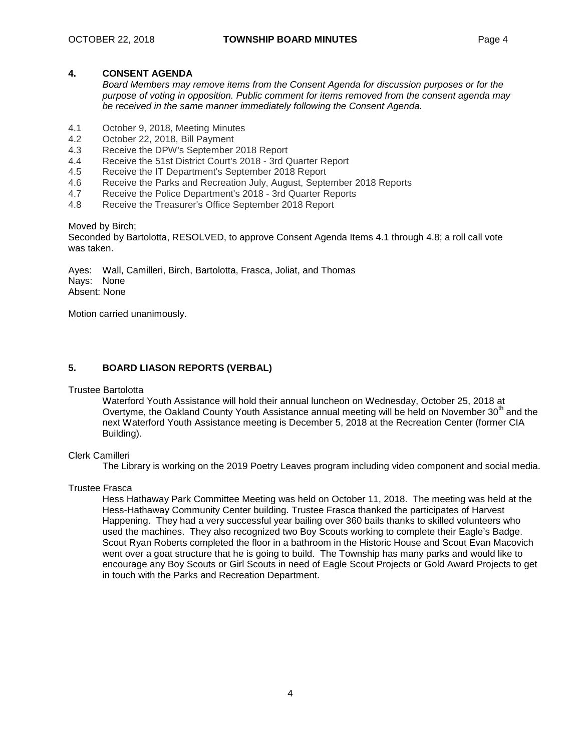## **4. CONSENT AGENDA**

*Board Members may remove items from the Consent Agenda for discussion purposes or for the purpose of voting in opposition. Public comment for items removed from the consent agenda may be received in the same manner immediately following the Consent Agenda.*

- 4.1 October 9, 2018, Meeting Minutes<br>4.2 October 22, 2018, Bill Payment
- October 22, 2018, Bill Payment
- 4.3 Receive the DPW's September 2018 Report
- 4.4 Receive the 51st District Court's 2018 3rd Quarter Report 4.5 Receive the IT Department's September 2018 Report
- Receive the IT Department's September 2018 Report
- 4.6 Receive the Parks and Recreation July, August, September 2018 Reports
- 4.7 Receive the Police Department's 2018 3rd Quarter Reports<br>4.8 Receive the Treasurer's Office September 2018 Report
- Receive the Treasurer's Office September 2018 Report

Moved by Birch;

Seconded by Bartolotta, RESOLVED, to approve Consent Agenda Items 4.1 through 4.8; a roll call vote was taken.

Ayes: Wall, Camilleri, Birch, Bartolotta, Frasca, Joliat, and Thomas Nays: None Absent: None

Motion carried unanimously.

## **5. BOARD LIASON REPORTS (VERBAL)**

## Trustee Bartolotta

Waterford Youth Assistance will hold their annual luncheon on Wednesday, October 25, 2018 at Overtyme, the Oakland County Youth Assistance annual meeting will be held on November 30<sup>th</sup> and the next Waterford Youth Assistance meeting is December 5, 2018 at the Recreation Center (former CIA Building).

## Clerk Camilleri

The Library is working on the 2019 Poetry Leaves program including video component and social media.

## Trustee Frasca

Hess Hathaway Park Committee Meeting was held on October 11, 2018. The meeting was held at the Hess-Hathaway Community Center building. Trustee Frasca thanked the participates of Harvest Happening. They had a very successful year bailing over 360 bails thanks to skilled volunteers who used the machines. They also recognized two Boy Scouts working to complete their Eagle's Badge. Scout Ryan Roberts completed the floor in a bathroom in the Historic House and Scout Evan Macovich went over a goat structure that he is going to build. The Township has many parks and would like to encourage any Boy Scouts or Girl Scouts in need of Eagle Scout Projects or Gold Award Projects to get in touch with the Parks and Recreation Department.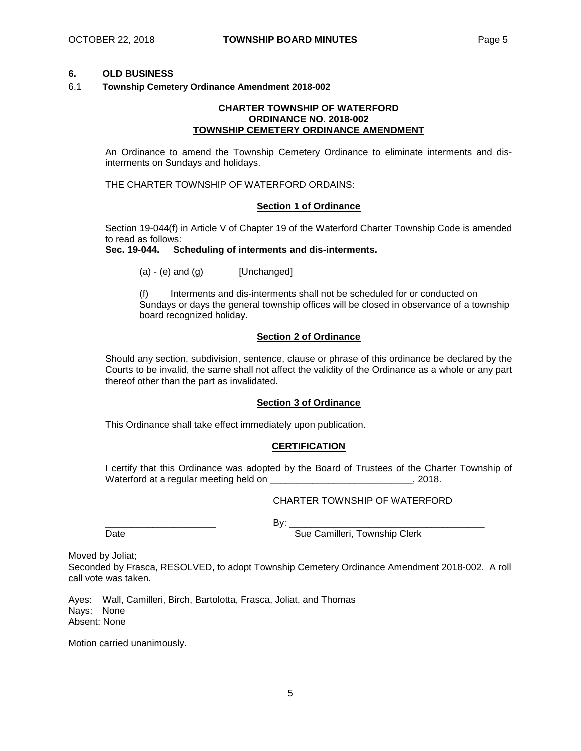## **6. OLD BUSINESS**

#### 6.1 **Township Cemetery Ordinance Amendment 2018-002**

#### **CHARTER TOWNSHIP OF WATERFORD ORDINANCE NO. 2018-002 TOWNSHIP CEMETERY ORDINANCE AMENDMENT**

An Ordinance to amend the Township Cemetery Ordinance to eliminate interments and disinterments on Sundays and holidays.

THE CHARTER TOWNSHIP OF WATERFORD ORDAINS:

#### **Section 1 of Ordinance**

Section 19-044(f) in Article V of Chapter 19 of the Waterford Charter Township Code is amended to read as follows:

**Sec. 19-044. Scheduling of interments and dis-interments.**

 $(a) - (e)$  and  $(g)$  [Unchanged]

(f) Interments and dis-interments shall not be scheduled for or conducted on Sundays or days the general township offices will be closed in observance of a township board recognized holiday.

#### **Section 2 of Ordinance**

Should any section, subdivision, sentence, clause or phrase of this ordinance be declared by the Courts to be invalid, the same shall not affect the validity of the Ordinance as a whole or any part thereof other than the part as invalidated.

#### **Section 3 of Ordinance**

This Ordinance shall take effect immediately upon publication.

#### **CERTIFICATION**

I certify that this Ordinance was adopted by the Board of Trustees of the Charter Township of Waterford at a regular meeting held on \_\_\_\_\_\_\_\_\_\_\_\_\_\_\_\_\_\_\_\_\_\_\_\_\_\_\_\_\_\_\_\_, 2018.

CHARTER TOWNSHIP OF WATERFORD

\_\_\_\_\_\_\_\_\_\_\_\_\_\_\_\_\_\_\_\_\_ By: \_\_\_\_\_\_\_\_\_\_\_\_\_\_\_\_\_\_\_\_\_\_\_\_\_\_\_\_\_\_\_\_\_\_\_\_\_ Date **Sue Camilleri, Township Clerk** 

Moved by Joliat;

Seconded by Frasca, RESOLVED, to adopt Township Cemetery Ordinance Amendment 2018-002. A roll call vote was taken.

Ayes: Wall, Camilleri, Birch, Bartolotta, Frasca, Joliat, and Thomas Nays: None Absent: None

Motion carried unanimously.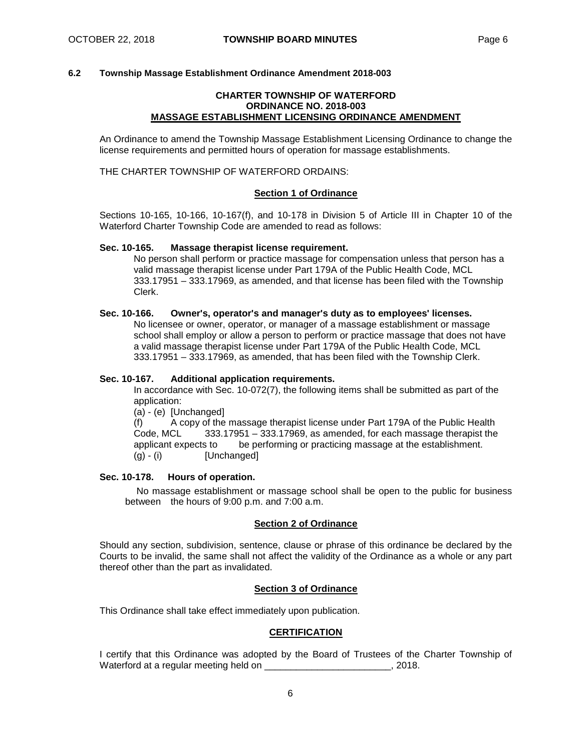#### **6.2 Township Massage Establishment Ordinance Amendment 2018-003**

### **CHARTER TOWNSHIP OF WATERFORD ORDINANCE NO. 2018-003 MASSAGE ESTABLISHMENT LICENSING ORDINANCE AMENDMENT**

An Ordinance to amend the Township Massage Establishment Licensing Ordinance to change the license requirements and permitted hours of operation for massage establishments.

THE CHARTER TOWNSHIP OF WATERFORD ORDAINS:

#### **Section 1 of Ordinance**

Sections 10-165, 10-166, 10-167(f), and 10-178 in Division 5 of Article III in Chapter 10 of the Waterford Charter Township Code are amended to read as follows:

#### **Sec. 10-165. Massage therapist license requirement.**

No person shall perform or practice massage for compensation unless that person has a valid massage therapist license under Part 179A of the Public Health Code, MCL 333.17951 – 333.17969, as amended, and that license has been filed with the Township Clerk.

### **Sec. 10-166. Owner's, operator's and manager's duty as to employees' licenses.**

No licensee or owner, operator, or manager of a massage establishment or massage school shall employ or allow a person to perform or practice massage that does not have a valid massage therapist license under Part 179A of the Public Health Code, MCL 333.17951 – 333.17969, as amended, that has been filed with the Township Clerk.

#### **Sec. 10-167. Additional application requirements.**

In accordance with Sec. 10-072(7), the following items shall be submitted as part of the application:

(a) - (e) [Unchanged]

(f) A copy of the massage therapist license under Part 179A of the Public Health  $333.17951 - 333.17969$ , as amended, for each massage therapist the applicant expects to be performing or practicing massage at the establishment.  $(g) - (i)$  [Unchanged]

### **Sec. 10-178. Hours of operation.**

No massage establishment or massage school shall be open to the public for business between the hours of 9:00 p.m. and 7:00 a.m.

### **Section 2 of Ordinance**

Should any section, subdivision, sentence, clause or phrase of this ordinance be declared by the Courts to be invalid, the same shall not affect the validity of the Ordinance as a whole or any part thereof other than the part as invalidated.

#### **Section 3 of Ordinance**

This Ordinance shall take effect immediately upon publication.

#### **CERTIFICATION**

I certify that this Ordinance was adopted by the Board of Trustees of the Charter Township of Waterford at a regular meeting held on \_\_\_\_\_\_\_\_\_\_\_\_\_\_\_\_\_\_\_\_\_\_\_\_\_\_\_\_, 2018.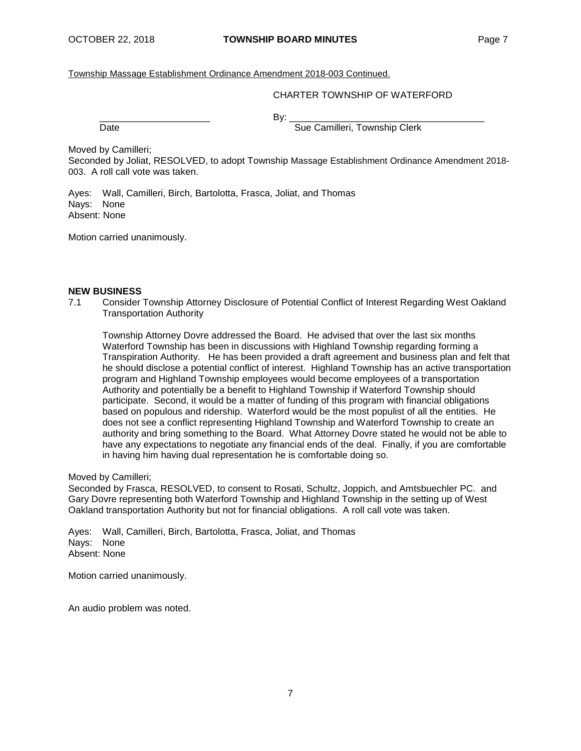Township Massage Establishment Ordinance Amendment 2018-003 Continued.

CHARTER TOWNSHIP OF WATERFORD

\_\_\_\_\_\_\_\_\_\_\_\_\_\_\_\_\_\_\_\_\_ By: \_\_\_\_\_\_\_\_\_\_\_\_\_\_\_\_\_\_\_\_\_\_\_\_\_\_\_\_\_\_\_\_\_\_\_\_\_

Date **Sue Camilleri, Township Clerk** Sue Camilleri, Township Clerk

Moved by Camilleri;

Seconded by Joliat, RESOLVED, to adopt Township Massage Establishment Ordinance Amendment 2018- 003. A roll call vote was taken.

Ayes: Wall, Camilleri, Birch, Bartolotta, Frasca, Joliat, and Thomas Nays: None Absent: None

Motion carried unanimously.

# **NEW BUSINESS**<br>7.1 Consider

7.1 Consider Township Attorney Disclosure of Potential Conflict of Interest Regarding West Oakland Transportation Authority

Township Attorney Dovre addressed the Board. He advised that over the last six months Waterford Township has been in discussions with Highland Township regarding forming a Transpiration Authority. He has been provided a draft agreement and business plan and felt that he should disclose a potential conflict of interest. Highland Township has an active transportation program and Highland Township employees would become employees of a transportation Authority and potentially be a benefit to Highland Township if Waterford Township should participate. Second, it would be a matter of funding of this program with financial obligations based on populous and ridership. Waterford would be the most populist of all the entities. He does not see a conflict representing Highland Township and Waterford Township to create an authority and bring something to the Board. What Attorney Dovre stated he would not be able to have any expectations to negotiate any financial ends of the deal. Finally, if you are comfortable in having him having dual representation he is comfortable doing so.

Moved by Camilleri;

Seconded by Frasca, RESOLVED, to consent to Rosati, Schultz, Joppich, and Amtsbuechler PC. and Gary Dovre representing both Waterford Township and Highland Township in the setting up of West Oakland transportation Authority but not for financial obligations. A roll call vote was taken.

Ayes: Wall, Camilleri, Birch, Bartolotta, Frasca, Joliat, and Thomas Nays: None Absent: None

Motion carried unanimously.

An audio problem was noted.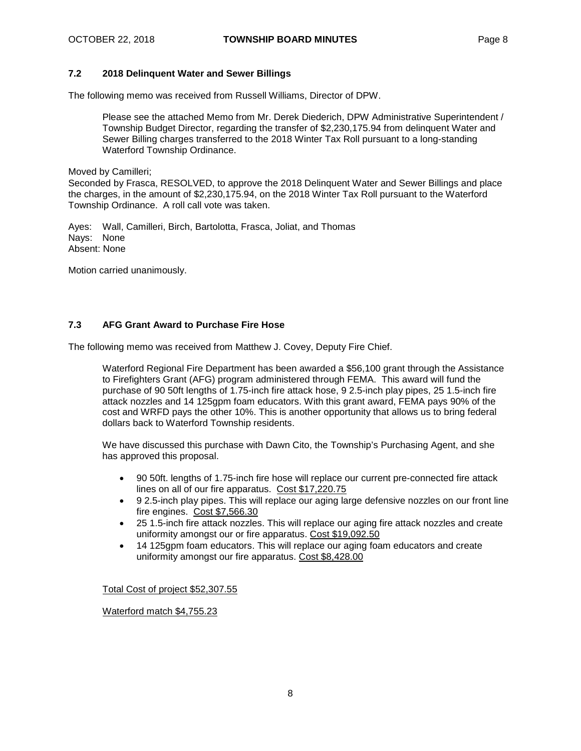## **7.2 2018 Delinquent Water and Sewer Billings**

The following memo was received from Russell Williams, Director of DPW.

Please see the attached Memo from Mr. Derek Diederich, DPW Administrative Superintendent / Township Budget Director, regarding the transfer of \$2,230,175.94 from delinquent Water and Sewer Billing charges transferred to the 2018 Winter Tax Roll pursuant to a long-standing Waterford Township Ordinance.

Moved by Camilleri;

Seconded by Frasca, RESOLVED, to approve the 2018 Delinquent Water and Sewer Billings and place the charges, in the amount of \$2,230,175.94, on the 2018 Winter Tax Roll pursuant to the Waterford Township Ordinance. A roll call vote was taken.

Ayes: Wall, Camilleri, Birch, Bartolotta, Frasca, Joliat, and Thomas Nays: None Absent: None

Motion carried unanimously.

## **7.3 AFG Grant Award to Purchase Fire Hose**

The following memo was received from Matthew J. Covey, Deputy Fire Chief.

Waterford Regional Fire Department has been awarded a \$56,100 grant through the Assistance to Firefighters Grant (AFG) program administered through FEMA. This award will fund the purchase of 90 50ft lengths of 1.75-inch fire attack hose, 9 2.5-inch play pipes, 25 1.5-inch fire attack nozzles and 14 125gpm foam educators. With this grant award, FEMA pays 90% of the cost and WRFD pays the other 10%. This is another opportunity that allows us to bring federal dollars back to Waterford Township residents.

We have discussed this purchase with Dawn Cito, the Township's Purchasing Agent, and she has approved this proposal.

- 90 50ft. lengths of 1.75-inch fire hose will replace our current pre-connected fire attack lines on all of our fire apparatus. Cost \$17,220.75
- 9 2.5-inch play pipes. This will replace our aging large defensive nozzles on our front line fire engines. Cost \$7,566.30
- 25 1.5-inch fire attack nozzles. This will replace our aging fire attack nozzles and create uniformity amongst our or fire apparatus. Cost \$19,092.50
- 14 125 apm foam educators. This will replace our aging foam educators and create uniformity amongst our fire apparatus. Cost \$8,428.00

Total Cost of project \$52,307.55

Waterford match \$4,755.23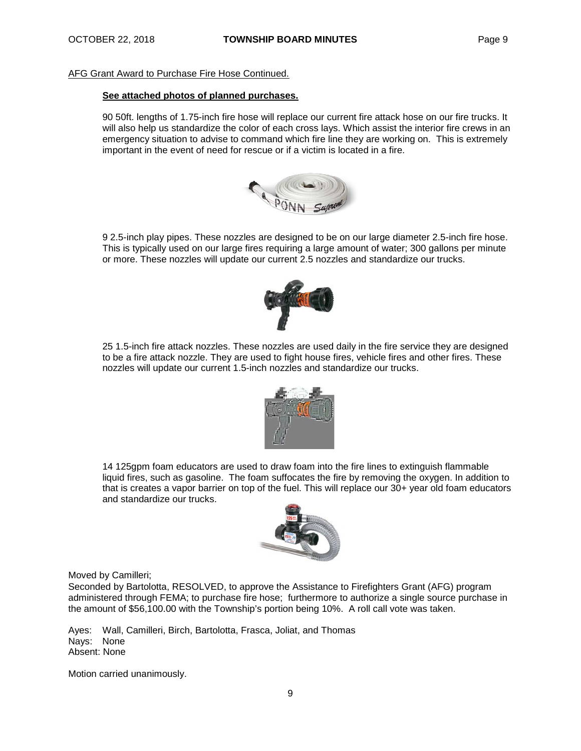## AFG Grant Award to Purchase Fire Hose Continued.

### **See attached photos of planned purchases.**

90 50ft. lengths of 1.75-inch fire hose will replace our current fire attack hose on our fire trucks. It will also help us standardize the color of each cross lays. Which assist the interior fire crews in an emergency situation to advise to command which fire line they are working on. This is extremely important in the event of need for rescue or if a victim is located in a fire.



9 2.5-inch play pipes. These nozzles are designed to be on our large diameter 2.5-inch fire hose. This is typically used on our large fires requiring a large amount of water; 300 gallons per minute or more. These nozzles will update our current 2.5 nozzles and standardize our trucks.



25 1.5-inch fire attack nozzles. These nozzles are used daily in the fire service they are designed to be a fire attack nozzle. They are used to fight house fires, vehicle fires and other fires. These nozzles will update our current 1.5-inch nozzles and standardize our trucks.



14 125gpm foam educators are used to draw foam into the fire lines to extinguish flammable liquid fires, such as gasoline. The foam suffocates the fire by removing the oxygen. In addition to that is creates a vapor barrier on top of the fuel. This will replace our 30+ year old foam educators and standardize our trucks.



Moved by Camilleri;

Seconded by Bartolotta, RESOLVED, to approve the Assistance to Firefighters Grant (AFG) program administered through FEMA; to purchase fire hose; furthermore to authorize a single source purchase in the amount of \$56,100.00 with the Township's portion being 10%. A roll call vote was taken.

Ayes: Wall, Camilleri, Birch, Bartolotta, Frasca, Joliat, and Thomas Nays: None Absent: None

Motion carried unanimously.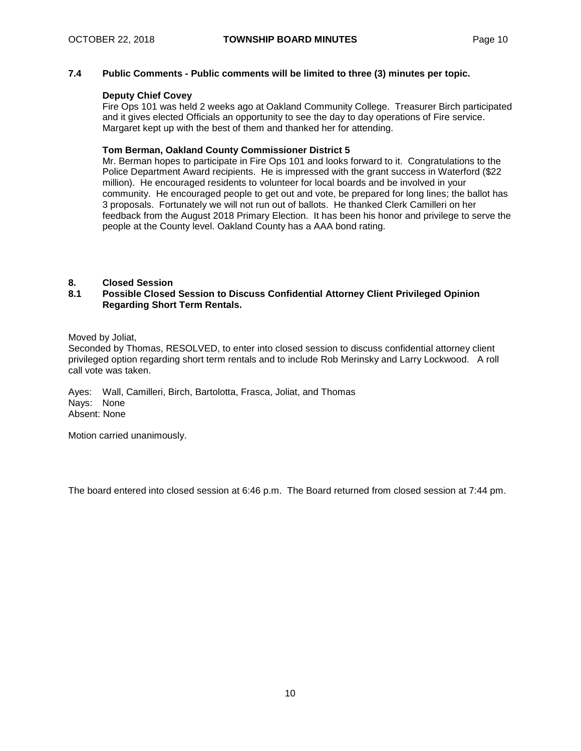## **7.4 Public Comments - Public comments will be limited to three (3) minutes per topic.**

### **Deputy Chief Covey**

Fire Ops 101 was held 2 weeks ago at Oakland Community College. Treasurer Birch participated and it gives elected Officials an opportunity to see the day to day operations of Fire service. Margaret kept up with the best of them and thanked her for attending.

### **Tom Berman, Oakland County Commissioner District 5**

Mr. Berman hopes to participate in Fire Ops 101 and looks forward to it. Congratulations to the Police Department Award recipients. He is impressed with the grant success in Waterford (\$22 million). He encouraged residents to volunteer for local boards and be involved in your community. He encouraged people to get out and vote, be prepared for long lines; the ballot has 3 proposals. Fortunately we will not run out of ballots. He thanked Clerk Camilleri on her feedback from the August 2018 Primary Election. It has been his honor and privilege to serve the people at the County level. Oakland County has a AAA bond rating.

## **8. Closed Session**

## **8.1 Possible Closed Session to Discuss Confidential Attorney Client Privileged Opinion Regarding Short Term Rentals.**

Moved by Joliat,

Seconded by Thomas, RESOLVED, to enter into closed session to discuss confidential attorney client privileged option regarding short term rentals and to include Rob Merinsky and Larry Lockwood. A roll call vote was taken.

Ayes: Wall, Camilleri, Birch, Bartolotta, Frasca, Joliat, and Thomas Nays: None Absent: None

Motion carried unanimously.

The board entered into closed session at 6:46 p.m. The Board returned from closed session at 7:44 pm.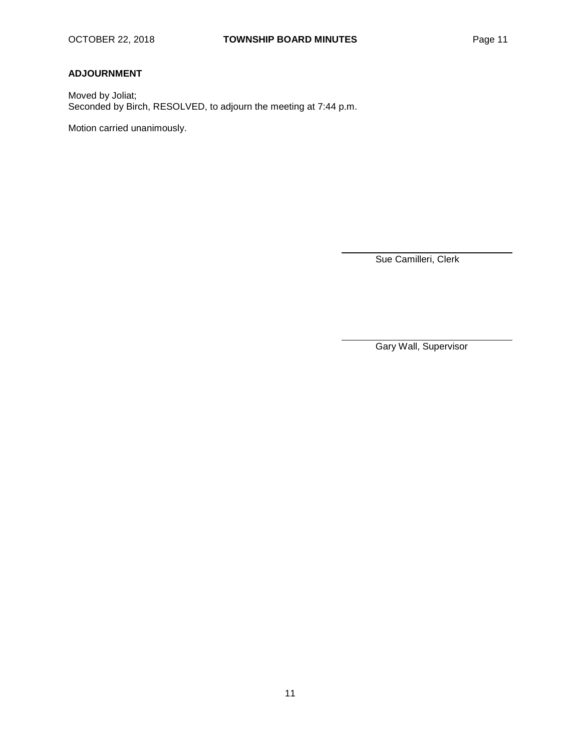## **ADJOURNMENT**

Moved by Joliat; Seconded by Birch, RESOLVED, to adjourn the meeting at 7:44 p.m.

Motion carried unanimously.

Sue Camilleri, Clerk

Gary Wall, Supervisor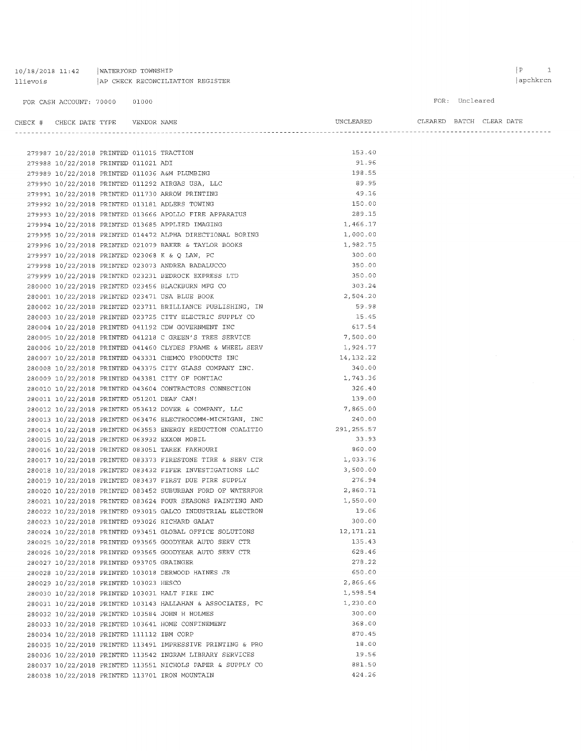| $10/18/2018$ $11:42$ | WATERFORD TOWNSHIP               |
|----------------------|----------------------------------|
| llievois             | AP CHECK RECONCILIATION REGISTER |

#### FOR: Uncleared

| CHECK # CHECK DATE TYPE    VENDOR NAME     |  |                                                            | UNCLEARED CLEARED BATCH CLEAR DATE |  |  |
|--------------------------------------------|--|------------------------------------------------------------|------------------------------------|--|--|
|                                            |  |                                                            |                                    |  |  |
| 279987 10/22/2018 PRINTED 011015 TRACTION  |  |                                                            | 153.40                             |  |  |
| 279988 10/22/2018 PRINTED 011021 ADI       |  |                                                            | 91.96                              |  |  |
|                                            |  | 279989 10/22/2018 PRINTED 011036 A&M PLUMBING              | 198.55                             |  |  |
|                                            |  | 279990 10/22/2018 PRINTED 011292 AIRGAS USA, LLC           | 89.95                              |  |  |
|                                            |  | 279991 10/22/2018 PRINTED 011730 ARROW PRINTING            | 49.16                              |  |  |
|                                            |  | 279992 10/22/2018 PRINTED 013181 ADLERS TOWING             | 150.00                             |  |  |
|                                            |  | 279993 10/22/2018 PRINTED 013666 APOLLO FIRE APPARATUS     | 289.15                             |  |  |
|                                            |  | 279994 10/22/2018 PRINTED 013685 APPLIED IMAGING           | 1,466.17                           |  |  |
|                                            |  | 279995 10/22/2018 PRINTED 014472 ALPHA DIRECTIONAL BORING  | 1,000.00                           |  |  |
|                                            |  | 279996 10/22/2018 PRINTED 021079 BAKER & TAYLOR BOOKS      | 1,982.75                           |  |  |
|                                            |  | 279997 10/22/2018 PRINTED 023068 K & Q LAW, PC             | 300.00                             |  |  |
|                                            |  | 279998 10/22/2018 PRINTED 023073 ANDREA BADALUCCO          | 350.00                             |  |  |
|                                            |  | 279999 10/22/2018 PRINTED 023231 BEDROCK EXPRESS LTD       | 350.00                             |  |  |
|                                            |  | 280000 10/22/2018 PRINTED 023456 BLACKBURN MFG CO          | 303.24                             |  |  |
|                                            |  | 280001 10/22/2018 PRINTED 023471 USA BLUE BOOK             | 2,504.20                           |  |  |
|                                            |  | 280002 10/22/2018 PRINTED 023711 BRILLIANCE PUBLISHING, IN | 59.98                              |  |  |
|                                            |  | 280003 10/22/2018 PRINTED 023725 CITY ELECTRIC SUPPLY CO   | 15.45                              |  |  |
|                                            |  | 280004 10/22/2018 PRINTED 041192 CDW GOVERNMENT INC        | 617.54                             |  |  |
|                                            |  | 280005 10/22/2018 PRINTED 041218 C GREEN'S TREE SERVICE    | 7,500.00                           |  |  |
|                                            |  | 280006 10/22/2018 PRINTED 041460 CLYDES FRAME & WHEEL SERV | 1,924.77                           |  |  |
|                                            |  | 280007 10/22/2018 PRINTED 043331 CHEMCO PRODUCTS INC       | 14, 132.22                         |  |  |
|                                            |  | 280008 10/22/2018 PRINTED 043375 CITY GLASS COMPANY INC.   | 340.00                             |  |  |
|                                            |  | 280009 10/22/2018 PRINTED 043381 CITY OF PONTIAC           | 1,743.36                           |  |  |
|                                            |  | 280010 10/22/2018 PRINTED 043604 CONTRACTORS CONNECTION    | 326.40                             |  |  |
| 280011 10/22/2018 PRINTED 051201 DEAF CAN! |  |                                                            | 139.00                             |  |  |
|                                            |  | 280012 10/22/2018 PRINTED 053612 DOVER & COMPANY, LLC      | 7,865.00                           |  |  |
|                                            |  | 280013 10/22/2018 PRINTED 063476 ELECTROCOMM-MICHIGAN, INC | 240.00                             |  |  |
|                                            |  | 280014 10/22/2018 PRINTED 063553 ENERGY REDUCTION COALITIO | 291,255.57                         |  |  |
|                                            |  | 280015 10/22/2018 PRINTED 063932 EXXON MOBIL               | 33.93                              |  |  |
|                                            |  | 280016 10/22/2018 PRINTED 083051 TAREK FAKHOURI            | 860.00                             |  |  |
|                                            |  | 280017 10/22/2018 PRINTED 083373 FIRESTONE TIRE & SERV CTR | 1,033.76                           |  |  |
|                                            |  | 280018 10/22/2018 PRINTED 083432 FIFER INVESTIGATIONS LLC  | 3,500.00                           |  |  |
|                                            |  | 280019 10/22/2018 PRINTED 083437 FIRST DUE FIRE SUPPLY     | 276.94                             |  |  |
|                                            |  | 280020 10/22/2018 PRINTED 083452 SUBURBAN FORD OF WATERFOR | 2,860.71                           |  |  |
|                                            |  | 280021 10/22/2018 PRINTED 083624 FOUR SEASONS PAINTING AND | 1,550.00                           |  |  |
|                                            |  | 280022 10/22/2018 PRINTED 093015 GALCO INDUSTRIAL ELECTRON | 19.06                              |  |  |
|                                            |  | 280023 10/22/2018 PRINTED 093026 RICHARD GALAT             | 300.00                             |  |  |
|                                            |  | 280024 10/22/2018 PRINTED 093451 GLOBAL OFFICE SOLUTIONS   | 12,171.21                          |  |  |
|                                            |  | 280025 10/22/2018 PRINTED 093565 GOODYEAR AUTO SERV CTR    | 135.43                             |  |  |
|                                            |  | 280026 10/22/2018 PRINTED 093565 GOODYEAR AUTO SERV CTR    | 628.46                             |  |  |
| 280027 10/22/2018 PRINTED 093705 GRAINGER  |  |                                                            | 278.22                             |  |  |
|                                            |  | 280028 10/22/2018 PRINTED 103018 DERWOOD HAINES JR         | 650.00                             |  |  |
| 280029 10/22/2018 PRINTED 103023 HESCO     |  |                                                            | 2,866.66                           |  |  |
|                                            |  | 280030 10/22/2018 PRINTED 103031 HALT FIRE INC             | 1,598.54                           |  |  |
|                                            |  | 280031 10/22/2018 PRINTED 103143 HALLAHAN & ASSOCIATES, PC | 1,230.00                           |  |  |
|                                            |  | 280032 10/22/2018 PRINTED 103584 JOHN H HOLMES             | 300.00                             |  |  |
|                                            |  | 280033 10/22/2018 PRINTED 103641 HOME CONFINEMENT          | 368.00                             |  |  |
| 280034 10/22/2018 PRINTED 111112 IBM CORP  |  |                                                            | 870.45                             |  |  |
|                                            |  | 280035 10/22/2018 PRINTED 113491 IMPRESSIVE PRINTING & PRO | 18.00                              |  |  |
|                                            |  | 280036 10/22/2018 PRINTED 113542 INGRAM LIBRARY SERVICES   | 19.56                              |  |  |
|                                            |  | 280037 10/22/2018 PRINTED 113551 NICHOLS PAPER & SUPPLY CO | 881.50                             |  |  |
|                                            |  | 280038 10/22/2018 PRINTED 113701 IRON MOUNTAIN             | 424.26                             |  |  |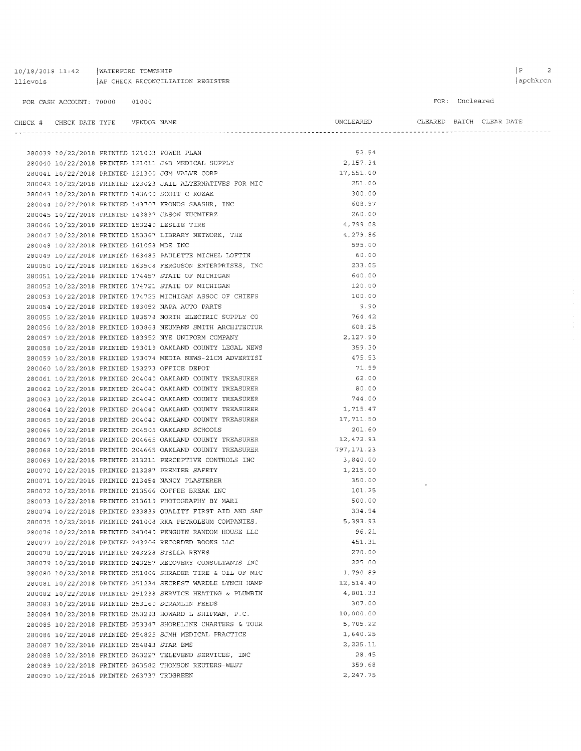#### 10/18/2018 11:42 | WATERFORD TOWNSHIP AP CHECK RECONCILIATION REGISTER llievois

280085 10/22/2018 PRINTED 253347 SHORELINE CHARTERS & TOUR

280086 10/22/2018 PRINTED 254825 SJMH MEDICAL PRACTICE

280088 10/22/2018 PRINTED 263227 TELEVEND SERVICES, INC

280089 10/22/2018 PRINTED 263582 THOMSON REUTERS-WEST

280087 10/22/2018 PRINTED 254843 STAR EMS

280090 10/22/2018 PRINTED 263737 TRUGREEN

FOR CASH ACCOUNT: 70000 01000

#### FOR: Uncleared

CLEARED BATCH CLEAR DATE CHECK # CHECK DATE TYPE VENDOR NAME INCLEARED 52.54 280039 10/22/2018 PRINTED 121003 POWER PLAN 280040 10/22/2018 PRINTED 121011 J&B MEDICAL SUPPLY 2,157.34 280041 10/22/2018 PRINTED 121300 JGM VALVE CORP 17,551.00 280042 10/22/2018 PRINTED 123023 JAIL ALTERNATIVES FOR MIC 251.00 280043 10/22/2018 PRINTED 143600 SCOTT C KOZAK 300.00 280044 10/22/2018 PRINTED 143707 KRONOS SAASHR, INC 608.97 260.00 280045 10/22/2018 PRINTED 143837 JASON KUCMIERZ 4.799.08 280046 10/22/2018 PRINTED 153240 LESLIE TIRE 280047 10/22/2018 PRINTED 153367 LIBRARY NETWORK, THE 4.279.86 280048 10/22/2018 PRINTED 161058 MDE INC 595.00 280049 10/22/2018 PRINTED 163485 PAULETTE MICHEL LOFTIN 60.00 280050 10/22/2018 PRINTED 163508 FERGUSON ENTERPRISES, INC 233.05 280051 10/22/2018 PRINTED 174457 STATE OF MICHIGAN 640.00 280052 10/22/2018 PRINTED 174721 STATE OF MICHIGAN 120.00 280053 10/22/2018 PRINTED 174725 MICHIGAN ASSOC OF CHIEFS 100.00 280054 10/22/2018 PRINTED 183052 NAPA AUTO PARTS 9.90 280055 10/22/2018 PRINTED 183578 NORTH ELECTRIC SUPPLY CO 764.42 608.25 280056 10/22/2018 PRINTED 183868 NEUMANN SMITH ARCHITECTUR 280057 10/22/2018 PRINTED 183952 NYE UNIFORM COMPANY 2.127.90 280058 10/22/2018 PRINTED 193019 OAKLAND COUNTY LEGAL NEWS 359.30 280059 10/22/2018 PRINTED 193074 MEDIA NEWS-21CM ADVERTISI 475.53 280060 10/22/2018 PRINTED 193273 OFFICE DEPOT 71.99 280061 10/22/2018 PRINTED 204040 OAKLAND COUNTY TREASURER  $62.00$ 280062 10/22/2018 PRINTED 204040 OAKLAND COUNTY TREASURER 80.00 280063 10/22/2018 PRINTED 204040 OAKLAND COUNTY TREASURER 744.00 1,715.47 280064 10/22/2018 PRINTED 204040 OAKLAND COUNTY TREASURER 280065 10/22/2018 PRINTED 204040 OAKLAND COUNTY TREASURER 17,711.50 280066 10/22/2018 PRINTED 204505 OAKLAND SCHOOLS 201.60 280067 10/22/2018 PRINTED 204665 OAKLAND COUNTY TREASURER 12,472.93 280068 10/22/2018 PRINTED 204665 OAKLAND COUNTY TREASURER 797.171.23 280069 10/22/2018 PRINTED 213211 PERCEPTIVE CONTROLS INC 3,840.00 280070 10/22/2018 PRINTED 213287 PREMIER SAFETY  $1,215.00$ 280071 10/22/2018 PRINTED 213454 NANCY PLASTERER 350.00 280072 10/22/2018 PRINTED 213566 COFFEE BREAK INC 101.25 280073 10/22/2018 PRINTED 213619 PHOTOGRAPHY BY MARI 500.00 280074 10/22/2018 PRINTED 233839 QUALITY FIRST AID AND SAF 334.94 280075 10/22/2018 PRINTED 241008 RKA PETROLEUM COMPANIES, 5.393.93 280076 10/22/2018 PRINTED 243040 PENGUIN RANDOM HOUSE LLC 96.21 280077 10/22/2018 PRINTED 243206 RECORDED BOOKS LLC 451 31 280078 10/22/2018 PRINTED 243228 STELLA REYES 270.00 280079 10/22/2018 PRINTED 243257 RECOVERY CONSULTANTS INC 225.00 280080 10/22/2018 PRINTED 251006 SHRADER TIRE & OIL OF MIC 1,790.89 280081 10/22/2018 PRINTED 251234 SECREST WARDLE LYNCH HAMP 12,514.40 280082 10/22/2018 PRINTED 251238 SERVICE HEATING & PLUMBIN 4,801.33 280083 10/22/2018 PRINTED 253160 SCRAMLIN FEEDS 307.00 280084 10/22/2018 PRINTED 253293 HOWARD L SHIFMAN, P.C.  $10.000.00$ 

> 5.705.22 1.640.25

2.225.11

28.45

359.68

2, 247.75

## $|P|$  2

apchkrcn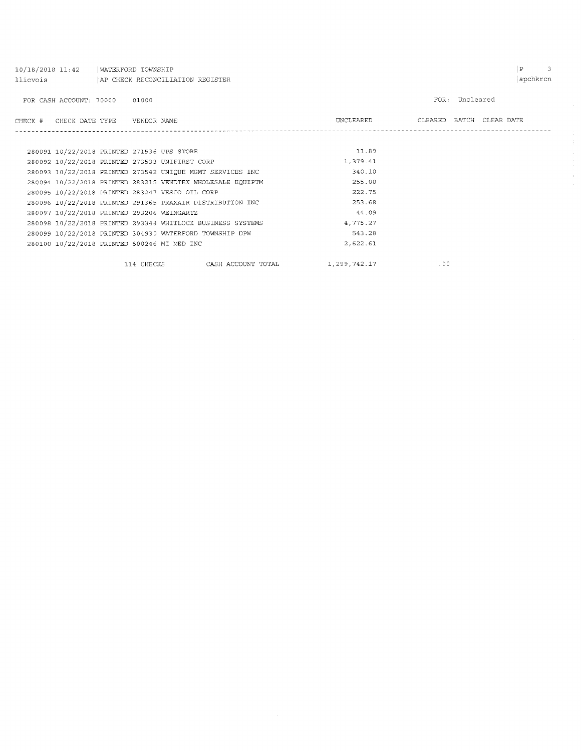| 10/18/2018 11:42                       | WATERFORD TOWNSHIP<br>llievois   AP CHECK RECONCILIATION REGISTER |  |            |                                                 |                                                            |  |              |  |     | $\, {\bf p}$             | 3<br>apchkrcn |  |  |
|----------------------------------------|-------------------------------------------------------------------|--|------------|-------------------------------------------------|------------------------------------------------------------|--|--------------|--|-----|--------------------------|---------------|--|--|
|                                        | FOR CASH ACCOUNT: 70000                                           |  | 01000      |                                                 |                                                            |  |              |  |     | FOR: Uncleared           |               |  |  |
| CHECK # CHECK DATE TYPE    VENDOR NAME |                                                                   |  |            |                                                 |                                                            |  | UNCLEARED    |  |     | CLEARED BATCH CLEAR DATE |               |  |  |
|                                        |                                                                   |  |            |                                                 |                                                            |  |              |  |     |                          |               |  |  |
|                                        |                                                                   |  |            | 280091 10/22/2018 PRINTED 271536 UPS STORE      |                                                            |  | 11.89        |  |     |                          |               |  |  |
|                                        |                                                                   |  |            | 280092 10/22/2018 PRINTED 273533 UNIFIRST CORP  |                                                            |  | 1,379.41     |  |     |                          |               |  |  |
|                                        |                                                                   |  |            |                                                 | 280093 10/22/2018 PRINTED 273542 UNIQUE MGMT SERVICES INC  |  | 340.10       |  |     |                          |               |  |  |
|                                        |                                                                   |  |            |                                                 | 280094 10/22/2018 PRINTED 283215 VENDTEK WHOLESALE EQUIPTM |  | 255.00       |  |     |                          |               |  |  |
|                                        |                                                                   |  |            | 280095 10/22/2018 PRINTED 283247 VESCO OIL CORP |                                                            |  | 222.75       |  |     |                          |               |  |  |
|                                        |                                                                   |  |            |                                                 | 280096 10/22/2018 PRINTED 291365 PRAXAIR DISTRIBUTION INC  |  | 253.68       |  |     |                          |               |  |  |
|                                        |                                                                   |  |            | 280097 10/22/2018 PRINTED 293206 WEINGARTZ      |                                                            |  | 44.09        |  |     |                          |               |  |  |
|                                        |                                                                   |  |            |                                                 | 280098 10/22/2018 PRINTED 293348 WHITLOCK BUSINESS SYSTEMS |  | 4,775.27     |  |     |                          |               |  |  |
|                                        |                                                                   |  |            |                                                 | 280099 10/22/2018 PRINTED 304930 WATERFORD TOWNSHIP DPW    |  | 543.28       |  |     |                          |               |  |  |
|                                        |                                                                   |  |            | 280100 10/22/2018 PRINTED 500246 MI MED INC     |                                                            |  | 2,622.61     |  |     |                          |               |  |  |
|                                        |                                                                   |  | 114 CHECKS |                                                 | CASH ACCOUNT TOTAL                                         |  | 1,299,742.17 |  | .00 |                          |               |  |  |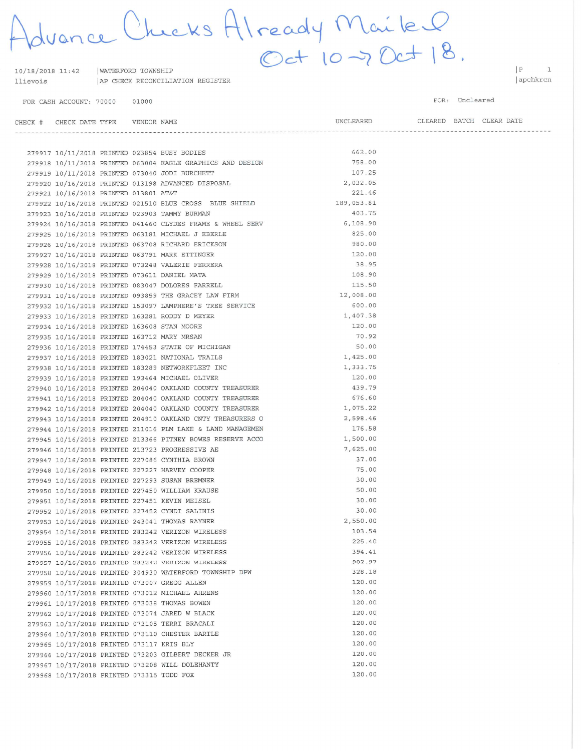Chicks Already Maile 2 vance

10/18/2018 11:42 WATERFORD TOWNSHIP llievois AP CHECK RECONCILIATION REGISTER

FOR CASH ACCOUNT: 70000 01000

CHECK # CHECK DATE TYPE VENDOR NAME   $\begin{array}{ccc} \mid & \text{P} & \text{1} \end{array}$ apchkrcn

FOR: Uncleared

| ECK # |  | CHECK DATE TYPE VENDOR NAME                                | UNCLEARED  | CLEARED BATCH CLEAR DATE |  |  |
|-------|--|------------------------------------------------------------|------------|--------------------------|--|--|
|       |  |                                                            |            |                          |  |  |
|       |  | 279917 10/11/2018 PRINTED 023854 BUSY BODIES               | 662.00     |                          |  |  |
|       |  | 279918 10/11/2018 PRINTED 063004 EAGLE GRAPHICS AND DESIGN | 758.00     |                          |  |  |
|       |  | 279919 10/11/2018 PRINTED 073040 JODI BURCHETT             | 107.25     |                          |  |  |
|       |  | 279920 10/16/2018 PRINTED 013198 ADVANCED DISPOSAL         | 2,032.05   |                          |  |  |
|       |  | 279921 10/16/2018 PRINTED 013801 AT&T                      | 221.46     |                          |  |  |
|       |  | oseese 10/16/0010 primum osicio prim aposa prim diitrip    | 100 052 01 |                          |  |  |

|  |                                             |  | 279920 10/16/2018 PRINTED 013198 ADVANCED DISPOSAL         | 2,032.05   |
|--|---------------------------------------------|--|------------------------------------------------------------|------------|
|  | 279921 10/16/2018 PRINTED 013801 AT&T       |  |                                                            | 221.46     |
|  |                                             |  | 279922 10/16/2018 PRINTED 021510 BLUE CROSS BLUE SHIELD    | 189,053.81 |
|  |                                             |  | 279923 10/16/2018 PRINTED 023903 TAMMY BURMAN              | 403.75     |
|  |                                             |  | 279924 10/16/2018 PRINTED 041460 CLYDES FRAME & WHEEL SERV | 6,108.90   |
|  |                                             |  | 279925 10/16/2018 PRINTED 063181 MICHAEL J EBERLE          | 825.00     |
|  |                                             |  | 279926 10/16/2018 PRINTED 063708 RICHARD ERICKSON          | 980.00     |
|  |                                             |  | 279927 10/16/2018 PRINTED 063791 MARK ETTINGER             | 120.00     |
|  |                                             |  | 279928 10/16/2018 PRINTED 073248 VALERIE FERRERA           | 38.95      |
|  |                                             |  | 279929 10/16/2018 PRINTED 073611 DANIEL MATA               | 108.90     |
|  |                                             |  | 279930 10/16/2018 PRINTED 083047 DOLORES FARRELL           | 115.50     |
|  |                                             |  | 279931 10/16/2018 PRINTED 093859 THE GRACEY LAW FIRM       | 12,008.00  |
|  |                                             |  | 279932 10/16/2018 PRINTED 153097 LAMPHERE'S TREE SERVICE   | 600.00     |
|  |                                             |  | 279933 10/16/2018 PRINTED 163281 RODDY D MEYER             | 1,407.38   |
|  | 279934 10/16/2018 PRINTED 163608 STAN MOORE |  |                                                            | 120.00     |
|  | 279935 10/16/2018 PRINTED 163712 MARY MRSAN |  |                                                            | 70.92      |
|  |                                             |  | 279936 10/16/2018 PRINTED 174453 STATE OF MICHIGAN         | 50.00      |
|  |                                             |  | 279937 10/16/2018 PRINTED 183021 NATIONAL TRAILS           | 1,425.00   |
|  |                                             |  | 279938 10/16/2018 PRINTED 183289 NETWORKFLEET INC          | 1,333.75   |
|  |                                             |  | 279939 10/16/2018 PRINTED 193464 MICHAEL OLIVER            | 120.00     |
|  |                                             |  | 279940 10/16/2018 PRINTED 204040 OAKLAND COUNTY TREASURER  | 439.79     |
|  |                                             |  | 279941 10/16/2018 PRINTED 204040 OAKLAND COUNTY TREASURER  | 676.60     |
|  |                                             |  | 279942 10/16/2018 PRINTED 204040 OAKLAND COUNTY TREASURER  | 1,075.22   |
|  |                                             |  | 279943 10/16/2018 PRINTED 204910 OAKLAND CNTY TREASURERS O | 2,598.46   |
|  |                                             |  | 279944 10/16/2018 PRINTED 211016 PLM LAKE & LAND MANAGEMEN | 176.58     |
|  |                                             |  | 279945 10/16/2018 PRINTED 213366 PITNEY BOWES RESERVE ACCO | 1,500.00   |
|  |                                             |  | 279946 10/16/2018 PRINTED 213723 PROGRESSIVE AE            | 7,625.00   |
|  |                                             |  | 279947 10/16/2018 PRINTED 227086 CYNTHIA BROWN             | 37.00      |
|  |                                             |  | 279948 10/16/2018 PRINTED 227227 HARVEY COOPER             | 75.00      |
|  |                                             |  | 279949 10/16/2018 PRINTED 227293 SUSAN BREMNER             | 30.00      |
|  |                                             |  | 279950 10/16/2018 PRINTED 227450 WILLIAM KRAUSE            | 50.00      |
|  |                                             |  | 279951 10/16/2018 PRINTED 227451 KEVIN MEISEL              | 30.00      |
|  |                                             |  | 279952 10/16/2018 PRINTED 227452 CYNDI SALINIS             | 30.00      |
|  |                                             |  | 279953 10/16/2018 PRINTED 243041 THOMAS RAYNER             | 2,550.00   |
|  |                                             |  | 279954 10/16/2018 PRINTED 283242 VERIZON WIRELESS          | 103.54     |
|  |                                             |  | 279955 10/16/2018 PRINTED 283242 VERIZON WIRELESS          | 225.40     |
|  |                                             |  | 279956 10/16/2018 PRINTED 283242 VERIZON WIRELESS          | 394.41     |
|  |                                             |  | 279957 10/16/2018 PRINTED 283242 VERIZON WIRELESS          | 902.97     |
|  |                                             |  | 279958 10/16/2018 PRINTED 304930 WATERFORD TOWNSHIP DPW    | 328.18     |
|  |                                             |  | 279959 10/17/2018 PRINTED 073007 GREGG ALLEN               | 120.00     |
|  |                                             |  | 279960 10/17/2018 PRINTED 073012 MICHAEL AHRENS            | 120.00     |
|  |                                             |  | 279961 10/17/2018 PRINTED 073038 THOMAS BOWEN              | 120.00     |
|  |                                             |  | 279962 10/17/2018 PRINTED 073074 JARED W BLACK             | 120.00     |
|  |                                             |  | 279963 10/17/2018 PRINTED 073105 TERRI BRACALI             | 120.00     |
|  |                                             |  | 279964 10/17/2018 PRINTED 073110 CHESTER BARTLE            | 120.00     |
|  | 279965 10/17/2018 PRINTED 073117 KRIS BLY   |  |                                                            | 120.00     |
|  |                                             |  | 279966 10/17/2018 PRINTED 073203 GILBERT DECKER JR         | 120.00     |
|  |                                             |  | 279967 10/17/2018 PRINTED 073208 WILL DOLEHANTY            | 120.00     |
|  | 279968 10/17/2018 PRINTED 073315 TODD FOX   |  |                                                            | 120.00     |